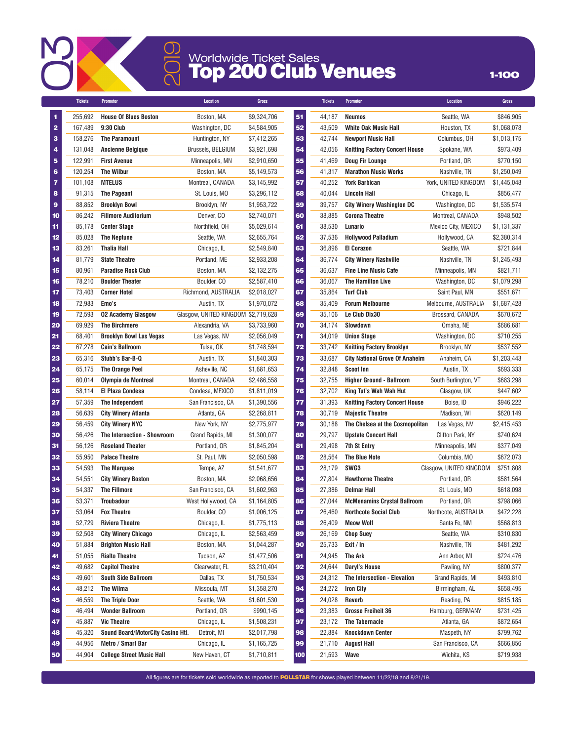

## Worldwide Ticket Sales ①<br>Q Worldwide Ticket Sales<br>Q **Top 200 Club Venues** 1-100

|                         | <b>Tickets</b> | Promoter                          | <b>Location</b>                     | <b>Gross</b> |     | <b>Tickets</b> | Promoter                              | <b>Location</b>         | <b>Gross</b> |
|-------------------------|----------------|-----------------------------------|-------------------------------------|--------------|-----|----------------|---------------------------------------|-------------------------|--------------|
| 1                       | 255.692        | <b>House Of Blues Boston</b>      | Boston, MA                          | \$9,324,706  | 51  | 44,187         | <b>Neumos</b>                         | Seattle, WA             | \$846,905    |
| $\overline{\mathbf{2}}$ | 167,489        | 9:30 Club                         | Washington, DC                      | \$4,584,905  | 52  | 43,509         | <b>White Oak Music Hall</b>           | Houston, TX             | \$1,068,078  |
| 3                       | 158,276        | <b>The Paramount</b>              | Huntington, NY                      | \$7,412,265  | 53  | 42,744         | <b>Newport Music Hall</b>             | Columbus, OH            | \$1,013,175  |
| 4                       | 131,048        | <b>Ancienne Belgique</b>          | <b>Brussels, BELGIUM</b>            | \$3,921,698  | 54  | 42,056         | <b>Knitting Factory Concert House</b> | Spokane, WA             | \$973,409    |
| 5                       | 122,991        | <b>First Avenue</b>               | Minneapolis, MN                     | \$2,910,650  | 55  | 41,469         | Doug Fir Lounge                       | Portland, OR            | \$770,150    |
| 6                       | 120,254        | <b>The Wilbur</b>                 | Boston, MA                          | \$5,149,573  | 56  | 41,317         | <b>Marathon Music Works</b>           | Nashville, TN           | \$1,250,049  |
| 7                       | 101,108        | <b>MTELUS</b>                     | Montreal, CANADA                    | \$3,145,992  | 57  | 40,252         | <b>York Barbican</b>                  | York, UNITED KINGDOM    | \$1,445,048  |
| 8                       | 91,315         | <b>The Pageant</b>                | St. Louis, MO                       | \$3,296,112  | 58  | 40,044         | <b>Lincoln Hall</b>                   | Chicago, IL             | \$856.477    |
| 9                       | 88,852         | <b>Brooklyn Bowl</b>              | Brooklyn, NY                        | \$1,953,722  | 59  | 39,757         | <b>City Winery Washington DC</b>      | Washington, DC          | \$1,535,574  |
| 10                      | 86,242         | <b>Fillmore Auditorium</b>        | Denver, CO                          | \$2,740,071  | 60  | 38,885         | <b>Corona Theatre</b>                 | Montreal, CANADA        | \$948,502    |
| 11                      | 85.178         | <b>Center Stage</b>               | Northfield, OH                      | \$5,029,614  | 61  | 38,530         | Lunario                               | Mexico City, MEXICO     | \$1,131,337  |
| 12                      | 85,028         | <b>The Neptune</b>                | Seattle, WA                         | \$2,655,764  | 62  | 37,536         | <b>Hollywood Palladium</b>            | Hollywood, CA           | \$2,380,314  |
| 13                      | 83,261         | <b>Thalia Hall</b>                | Chicago, IL                         | \$2,549,840  | 63  | 36,896         | <b>El Corazon</b>                     | Seattle, WA             | \$721,844    |
| 14                      | 81,779         | <b>State Theatre</b>              | Portland, ME                        | \$2,933,208  | 64  | 36,774         | <b>City Winery Nashville</b>          | Nashville, TN           | \$1,245,493  |
| 15                      | 80,961         | <b>Paradise Rock Club</b>         | Boston, MA                          | \$2,132,275  | 65  | 36,637         | <b>Fine Line Music Cafe</b>           | Minneapolis, MN         | \$821,711    |
| 16                      | 78,210         | <b>Boulder Theater</b>            | Boulder, CO                         | \$2,587,410  | 66  | 36,067         | <b>The Hamilton Live</b>              | Washington, DC          | \$1,079,298  |
| 17                      | 73,403         | <b>Corner Hotel</b>               | Richmond, AUSTRALIA                 | \$2,018,027  | 67  | 35,864         | <b>Turf Club</b>                      | Saint Paul, MN          | \$551,671    |
| 18                      | 72,983         | Emo's                             | Austin, TX                          | \$1,970,072  | 68  | 35,409         | <b>Forum Melbourne</b>                | Melbourne, AUSTRALIA    | \$1,687,428  |
| 19                      | 72,593         | <b>02 Academy Glasgow</b>         | Glasgow, UNITED KINGDOM \$2,719,628 |              | 69  | 35,106         | Le Club Dix30                         | Brossard, CANADA        | \$670,672    |
| 20                      | 69,929         | <b>The Birchmere</b>              | Alexandria, VA                      | \$3,733,960  | 70  | 34,174         | Slowdown                              | Omaha, NE               | \$686,681    |
| 21                      | 68,401         | <b>Brooklyn Bowl Las Vegas</b>    | Las Vegas, NV                       | \$2,056,049  | 71  | 34,019         | <b>Union Stage</b>                    | Washington, DC          | \$710,255    |
| 22                      | 67,278         | <b>Cain's Ballroom</b>            | Tulsa, OK                           | \$1,748,594  | 72  | 33,742         | <b>Knitting Factory Brooklyn</b>      | Brooklyn, NY            | \$537.552    |
| 23                      | 65,316         | Stubb's Bar-B-Q                   | Austin, TX                          | \$1,840,303  | 73  | 33,687         | <b>City National Grove Of Anaheim</b> | Anaheim, CA             | \$1,203,443  |
| 24                      | 65,175         | The Orange Peel                   | Asheville, NC                       | \$1,681,653  | 74  | 32,848         | <b>Scoot Inn</b>                      | Austin, TX              | \$693,333    |
| 25                      | 60,014         | Olympia de Montreal               | Montreal, CANADA                    | \$2,486,558  | 75  | 32,755         | <b>Higher Ground - Ballroom</b>       | South Burlington, VT    | \$683,298    |
| 26                      | 58,114         | <b>El Plaza Condesa</b>           | Condesa, MEXICO                     | \$1,811,019  | 76  | 32,702         | King Tut's Wah Wah Hut                | Glasgow, UK             | \$447,602    |
| 27                      | 57,359         | The Independent                   | San Francisco, CA                   | \$1,390,556  | 77  | 31,393         | <b>Knitting Factory Concert House</b> | Boise, ID               | \$946,222    |
| 28                      | 56,639         | <b>City Winery Atlanta</b>        | Atlanta, GA                         | \$2,268,811  | 78  | 30,719         | <b>Majestic Theatre</b>               | Madison, WI             | \$620,149    |
| 29                      | 56,459         | <b>City Winery NYC</b>            | New York, NY                        | \$2,775,977  | 79  | 30,188         | The Chelsea at the Cosmopolitan       | Las Vegas, NV           | \$2,415,453  |
| 30                      | 56.426         | The Intersection - Showroom       | Grand Rapids, MI                    | \$1,300,077  | 80  | 29,797         | <b>Upstate Concert Hall</b>           | Clifton Park, NY        | \$740,624    |
| 31                      | 56.126         | <b>Roseland Theater</b>           | Portland, OR                        | \$1,845,204  | 81  | 29,498         | <b>7th St Entry</b>                   | Minneapolis, MN         | \$377,049    |
| 32                      | 55,950         | <b>Palace Theatre</b>             | St. Paul, MN                        | \$2,050,598  | 82  | 28,564         | <b>The Blue Note</b>                  | Columbia, MO            | \$672,073    |
| 33                      | 54,593         | <b>The Marquee</b>                | Tempe, AZ                           | \$1,541,677  | 83  | 28,179         | SWG3                                  | Glasgow, UNITED KINGDOM | \$751,808    |
| 34                      | 54,551         | <b>City Winery Boston</b>         | Boston, MA                          | \$2,068,656  | 84  | 27,804         | <b>Hawthorne Theatre</b>              | Portland, OR            | \$581,564    |
| 35                      | 54,337         | <b>The Fillmore</b>               | San Francisco, CA                   | \$1.602.963  | 85  | 27,386         | <b>Delmar Hall</b>                    | St. Louis, MO           | \$618,098    |
| 36                      | 53,371         | <b>Troubadour</b>                 | West Hollywood, CA                  | \$1.164.805  | 86  | 27,044         | <b>McMenamins Crystal Ballroom</b>    | Portland, OR            | \$798,066    |
| 37                      | 53,064         | <b>Fox Theatre</b>                | Boulder, CO                         | \$1,006,125  | 87  | 26,460         | <b>Northcote Social Club</b>          | Northcote, AUSTRALIA    | \$472,228    |
| 38                      | 52,729         | <b>Riviera Theatre</b>            | Chicago, IL                         | \$1,775,113  | 88  | 26,409         | <b>Meow Wolf</b>                      | Santa Fe, NM            | \$568,813    |
| 39                      | 52,508         | <b>City Winery Chicago</b>        | Chicago, IL                         | \$2,563,459  | 89  | 26,169         | <b>Chop Suey</b>                      | Seattle, WA             | \$310,830    |
| 40                      | 51,884         | <b>Brighton Music Hall</b>        | Boston, MA                          | \$1,044,287  | 90  | 25,733         | Exit / In                             | Nashville, TN           | \$481,292    |
| 41                      | 51,055         | <b>Rialto Theatre</b>             | Tucson, AZ                          | \$1,477,506  | 91  | 24,945         | The Ark                               | Ann Arbor, MI           | \$724,476    |
| 42                      | 49,682         | <b>Capitol Theatre</b>            | Clearwater, FL                      | \$3,210,404  | 92  | 24,644         | Daryl's House                         | Pawling, NY             | \$800,377    |
| 43                      | 49,601         | <b>South Side Ballroom</b>        | Dallas, TX                          | \$1,750,534  | 93  | 24,312         | The Intersection - Elevation          | Grand Rapids, MI        | \$493,810    |
| 44                      | 48,212         | The Wilma                         | Missoula, MT                        | \$1,358,270  | 94  | 24,272         | <b>Iron City</b>                      | Birmingham, AL          | \$658,495    |
| 45                      | 46,559         | <b>The Triple Door</b>            | Seattle, WA                         | \$1,601,530  | 95  | 24,028         | Reverb                                | Reading, PA             | \$815,185    |
| 46                      | 46,494         | <b>Wonder Ballroom</b>            | Portland, OR                        | \$990,145    | 96  | 23,383         | <b>Grosse Freiheit 36</b>             | Hamburg, GERMANY        | \$731,425    |
| 47                      | 45,887         | <b>Vic Theatre</b>                | Chicago, IL                         | \$1,508,231  | 97  | 23,172         | The Tabernacle                        | Atlanta, GA             | \$872,654    |
| 48                      | 45,320         | Sound Board/MotorCity Casino Htl. | Detroit, MI                         | \$2,017,798  | 98  | 22,884         | <b>Knockdown Center</b>               | Maspeth, NY             | \$799,762    |
| 49                      | 44,956         | Metro / Smart Bar                 | Chicago, IL                         | \$1,165,725  | 99  | 21,710         | <b>August Hall</b>                    | San Francisco, CA       | \$666,856    |
| 50                      | 44,904         | <b>College Street Music Hall</b>  | New Haven, CT                       | \$1,710,811  | 100 | 21,593         | Wave                                  | Wichita, KS             | \$719,938    |

.<br>All figures are for tickets sold worldwide as reported to POLLSTAR for shows played between 11/22/18 and 8/21/19.